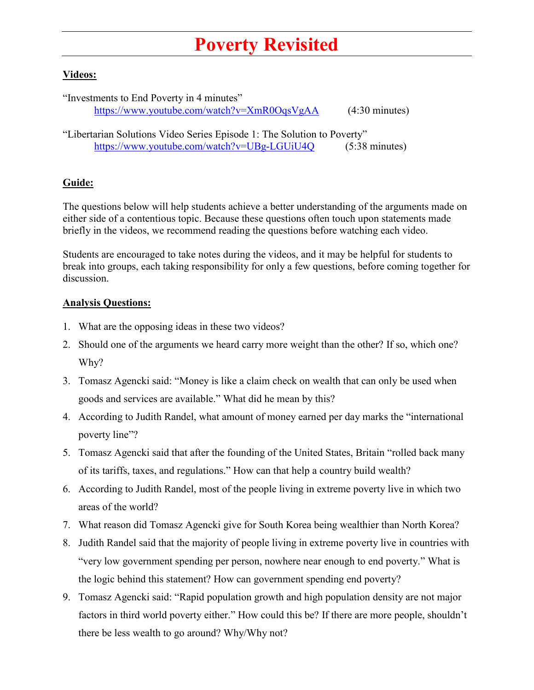## **Poverty Revisited**

## **Videos:**

"Investments to End Poverty in 4 minutes" <https://www.youtube.com/watch?v=XmR0OqsVgAA> (4:30 minutes)

"Libertarian Solutions Video Series Episode 1: The Solution to Poverty" <https://www.youtube.com/watch?v=UBg-LGUiU4Q> (5:38 minutes)

## **Guide:**

The questions below will help students achieve a better understanding of the arguments made on either side of a contentious topic. Because these questions often touch upon statements made briefly in the videos, we recommend reading the questions before watching each video.

Students are encouraged to take notes during the videos, and it may be helpful for students to break into groups, each taking responsibility for only a few questions, before coming together for discussion.

## **Analysis Questions:**

- 1. What are the opposing ideas in these two videos?
- 2. Should one of the arguments we heard carry more weight than the other? If so, which one? Why?
- 3. Tomasz Agencki said: "Money is like a claim check on wealth that can only be used when goods and services are available." What did he mean by this?
- 4. According to Judith Randel, what amount of money earned per day marks the "international poverty line"?
- 5. Tomasz Agencki said that after the founding of the United States, Britain "rolled back many of its tariffs, taxes, and regulations." How can that help a country build wealth?
- 6. According to Judith Randel, most of the people living in extreme poverty live in which two areas of the world?
- 7. What reason did Tomasz Agencki give for South Korea being wealthier than North Korea?
- 8. Judith Randel said that the majority of people living in extreme poverty live in countries with "very low government spending per person, nowhere near enough to end poverty." What is the logic behind this statement? How can government spending end poverty?
- 9. Tomasz Agencki said: "Rapid population growth and high population density are not major factors in third world poverty either." How could this be? If there are more people, shouldn't there be less wealth to go around? Why/Why not?